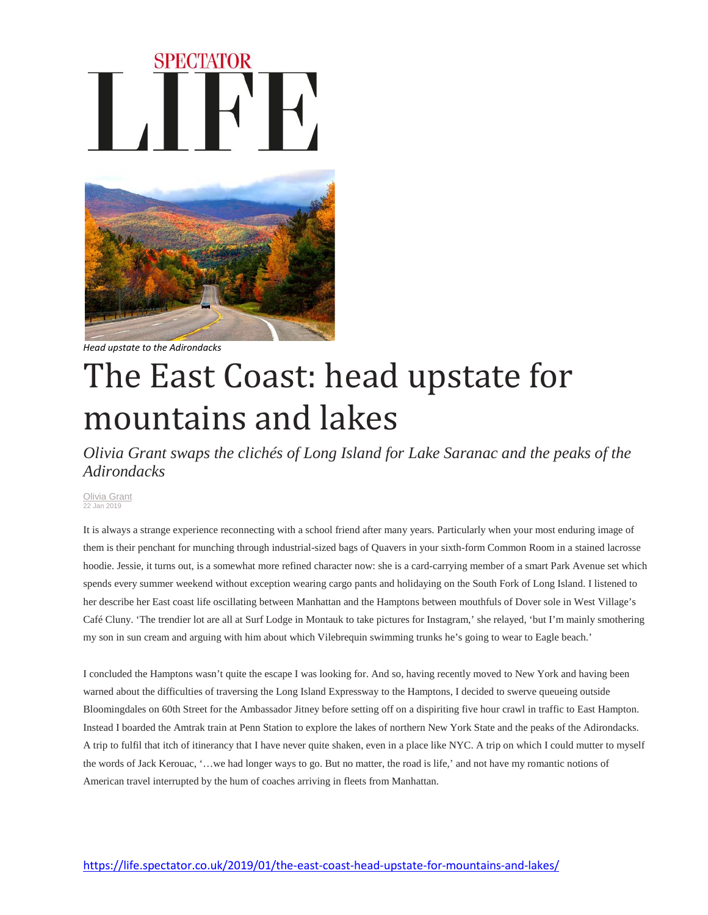## **SPECTATOR**



*Head upstate to the Adirondacks*

## The East Coast: head upstate for mountains and lakes

*Olivia Grant swaps the clichés of Long Island for Lake Saranac and the peaks of the Adirondacks*

[Olivia Grant](https://life.spectator.co.uk/author/olivia-grant/) 22 Jan 2019

It is always a strange experience reconnecting with a school friend after many years. Particularly when your most enduring image of them is their penchant for munching through industrial-sized bags of Quavers in your sixth-form Common Room in a stained lacrosse hoodie. Jessie, it turns out, is a somewhat more refined character now: she is a card-carrying member of a smart Park Avenue set which spends every summer weekend without exception wearing cargo pants and holidaying on the South Fork of Long Island. I listened to her describe her East coast life oscillating between Manhattan and the Hamptons between mouthfuls of Dover sole in West Village's Café Cluny. 'The trendier lot are all at Surf Lodge in Montauk to take pictures for Instagram,' she relayed, 'but I'm mainly smothering my son in sun cream and arguing with him about which Vilebrequin swimming trunks he's going to wear to Eagle beach.'

I concluded the Hamptons wasn't quite the escape I was looking for. And so, having recently moved to New York and having been warned about the difficulties of traversing the Long Island Expressway to the Hamptons, I decided to swerve queueing outside Bloomingdales on 60th Street for the Ambassador Jitney before setting off on a dispiriting five hour crawl in traffic to East Hampton. Instead I boarded the Amtrak train at Penn Station to explore the lakes of northern New York State and the peaks of the Adirondacks. A trip to fulfil that itch of itinerancy that I have never quite shaken, even in a place like NYC. A trip on which I could mutter to myself the words of Jack Kerouac, '…we had longer ways to go. But no matter, the road is life,' and not have my romantic notions of American travel interrupted by the hum of coaches arriving in fleets from Manhattan.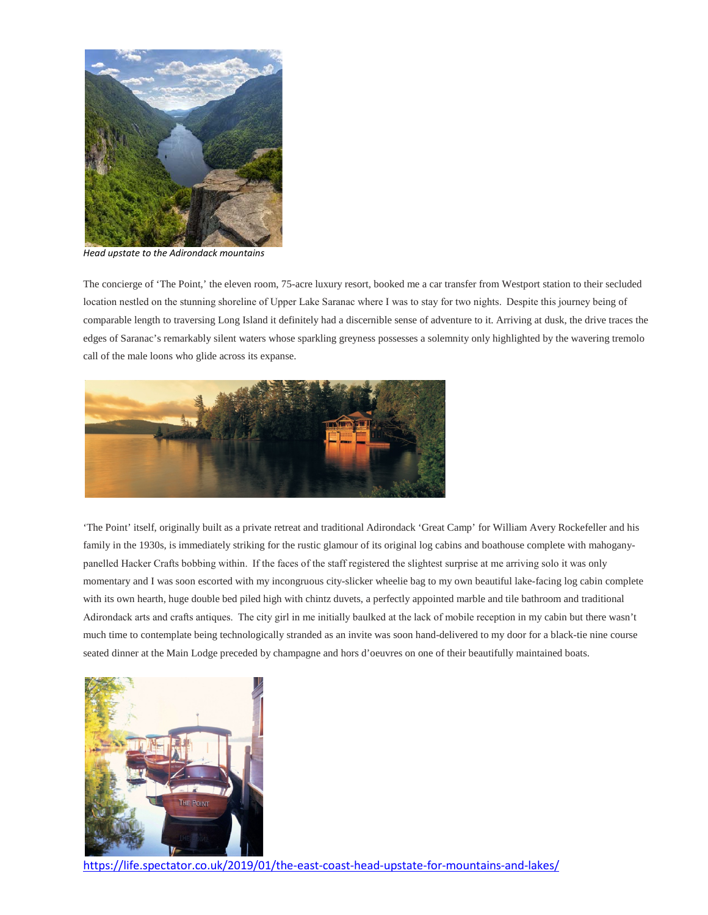

*Head upstate to the Adirondack mountains*

The concierge of 'The Point,' the eleven room, 75-acre luxury resort, booked me a car transfer from Westport station to their secluded location nestled on the stunning shoreline of Upper Lake Saranac where I was to stay for two nights.  Despite this journey being of comparable length to traversing Long Island it definitely had a discernible sense of adventure to it. Arriving at dusk, the drive traces the edges of Saranac's remarkably silent waters whose sparkling greyness possesses a solemnity only highlighted by the wavering tremolo call of the male loons who glide across its expanse.



'The Point' itself, originally built as a private retreat and traditional Adirondack 'Great Camp' for William Avery Rockefeller and his family in the 1930s, is immediately striking for the rustic glamour of its original log cabins and boathouse complete with mahoganypanelled Hacker Crafts bobbing within.  If the faces of the staff registered the slightest surprise at me arriving solo it was only momentary and I was soon escorted with my incongruous city-slicker wheelie bag to my own beautiful lake-facing log cabin complete with its own hearth, huge double bed piled high with chintz duvets, a perfectly appointed marble and tile bathroom and traditional Adirondack arts and crafts antiques.  The city girl in me initially baulked at the lack of mobile reception in my cabin but there wasn't much time to contemplate being technologically stranded as an invite was soon hand-delivered to my door for a black-tie nine course seated dinner at the Main Lodge preceded by champagne and hors d'oeuvres on one of their beautifully maintained boats.